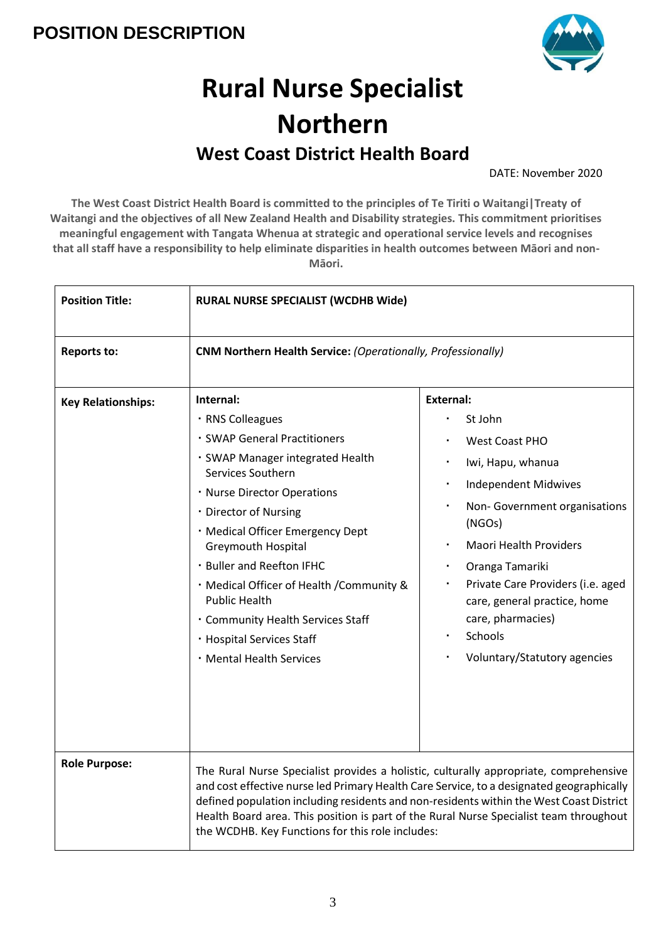

# **Rural Nurse Specialist Northern West Coast District Health Board**

DATE: November 2020

**The West Coast District Health Board is committed to the principles of Te Tiriti o Waitangi|Treaty of Waitangi and the objectives of all New Zealand Health and Disability strategies. This commitment prioritises meaningful engagement with Tangata Whenua at strategic and operational service levels and recognises that all staff have a responsibility to help eliminate disparities in health outcomes between Māori and non-Māori.** 

| <b>Position Title:</b>    | <b>RURAL NURSE SPECIALIST (WCDHB Wide)</b>                                                                                                                                                                                                                                                                                                                                                                                               |                                                                                                                                                                                                                                                                                                                                                               |
|---------------------------|------------------------------------------------------------------------------------------------------------------------------------------------------------------------------------------------------------------------------------------------------------------------------------------------------------------------------------------------------------------------------------------------------------------------------------------|---------------------------------------------------------------------------------------------------------------------------------------------------------------------------------------------------------------------------------------------------------------------------------------------------------------------------------------------------------------|
| <b>Reports to:</b>        | <b>CNM Northern Health Service: (Operationally, Professionally)</b>                                                                                                                                                                                                                                                                                                                                                                      |                                                                                                                                                                                                                                                                                                                                                               |
| <b>Key Relationships:</b> | Internal:<br>· RNS Colleagues<br>· SWAP General Practitioners<br>· SWAP Manager integrated Health<br>Services Southern<br>· Nurse Director Operations<br>· Director of Nursing<br>· Medical Officer Emergency Dept<br>Greymouth Hospital<br>· Buller and Reefton IFHC<br>· Medical Officer of Health / Community &<br><b>Public Health</b><br>. Community Health Services Staff<br>· Hospital Services Staff<br>· Mental Health Services | <b>External:</b><br>St John<br><b>West Coast PHO</b><br>Iwi, Hapu, whanua<br><b>Independent Midwives</b><br>Non-Government organisations<br>(NGOs)<br><b>Maori Health Providers</b><br>Oranga Tamariki<br>Private Care Providers (i.e. aged<br>care, general practice, home<br>care, pharmacies)<br>Schools<br>$\blacksquare$<br>Voluntary/Statutory agencies |
| <b>Role Purpose:</b>      | The Rural Nurse Specialist provides a holistic, culturally appropriate, comprehensive<br>and cost effective nurse led Primary Health Care Service, to a designated geographically<br>defined population including residents and non-residents within the West Coast District<br>Health Board area. This position is part of the Rural Nurse Specialist team throughout<br>the WCDHB. Key Functions for this role includes:               |                                                                                                                                                                                                                                                                                                                                                               |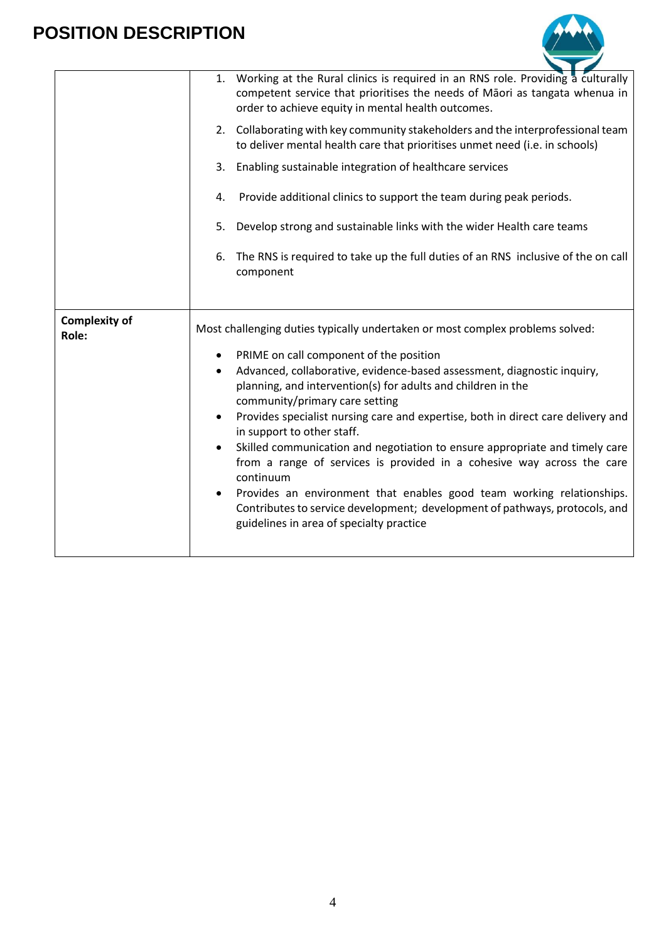

|                               | 1. Working at the Rural clinics is required in an RNS role. Providing a culturally<br>competent service that prioritises the needs of Māori as tangata whenua in<br>order to achieve equity in mental health outcomes.<br>2. Collaborating with key community stakeholders and the interprofessional team<br>to deliver mental health care that prioritises unmet need (i.e. in schools)<br>3. Enabling sustainable integration of healthcare services<br>Provide additional clinics to support the team during peak periods.<br>4.<br>5. Develop strong and sustainable links with the wider Health care teams<br>6. The RNS is required to take up the full duties of an RNS inclusive of the on call<br>component                                                                                           |
|-------------------------------|----------------------------------------------------------------------------------------------------------------------------------------------------------------------------------------------------------------------------------------------------------------------------------------------------------------------------------------------------------------------------------------------------------------------------------------------------------------------------------------------------------------------------------------------------------------------------------------------------------------------------------------------------------------------------------------------------------------------------------------------------------------------------------------------------------------|
| <b>Complexity of</b><br>Role: | Most challenging duties typically undertaken or most complex problems solved:<br>PRIME on call component of the position<br>Advanced, collaborative, evidence-based assessment, diagnostic inquiry,<br>$\bullet$<br>planning, and intervention(s) for adults and children in the<br>community/primary care setting<br>Provides specialist nursing care and expertise, both in direct care delivery and<br>in support to other staff.<br>Skilled communication and negotiation to ensure appropriate and timely care<br>from a range of services is provided in a cohesive way across the care<br>continuum<br>Provides an environment that enables good team working relationships.<br>Contributes to service development; development of pathways, protocols, and<br>guidelines in area of specialty practice |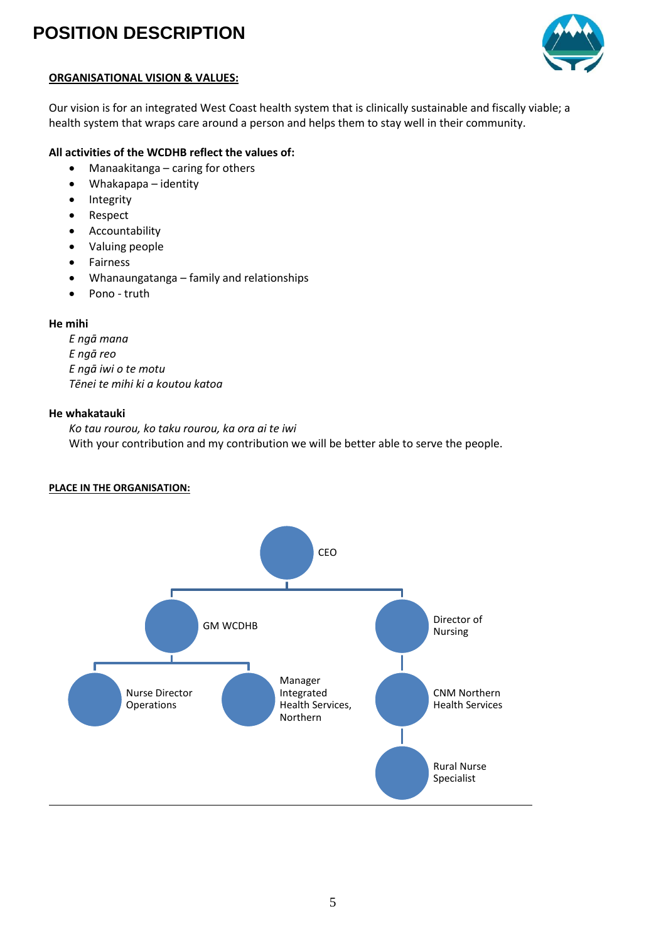

### **ORGANISATIONAL VISION & VALUES:**

Our vision is for an integrated West Coast health system that is clinically sustainable and fiscally viable; a health system that wraps care around a person and helps them to stay well in their community.

### **All activities of the WCDHB reflect the values of:**

- Manaakitanga caring for others
- Whakapapa identity
- Integrity
- Respect
- Accountability
- Valuing people
- Fairness
- Whanaungatanga family and relationships
- Pono truth

#### **He mihi**

*E ngā mana E ngā reo E ngā iwi o te motu Tēnei te mihi ki a koutou katoa*

#### **He whakatauki**

*Ko tau rourou, ko taku rourou, ka ora ai te iwi* With your contribution and my contribution we will be better able to serve the people.

#### **PLACE IN THE ORGANISATION:**

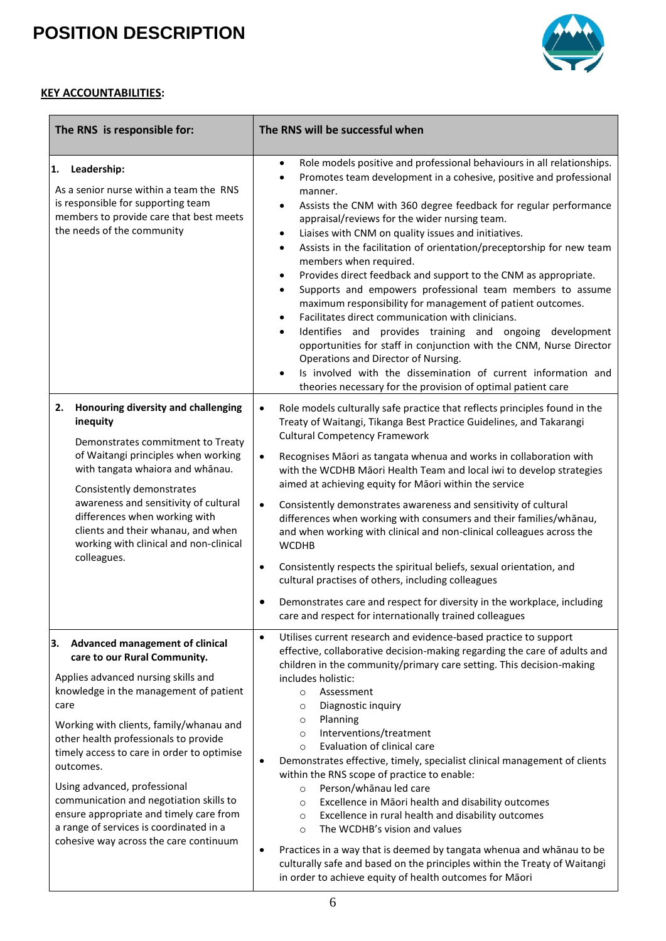

### **KEY ACCOUNTABILITIES:**

| The RNS is responsible for:                                                                                                                                                                                                                                                                                                                                                                                                                                                                                                     | The RNS will be successful when                                                                                                                                                                                                                                                                                                                                                                                                                                                                                                                                                                                                                                                                                                                                                                                                                                                                                                                                                                                                                                                                              |
|---------------------------------------------------------------------------------------------------------------------------------------------------------------------------------------------------------------------------------------------------------------------------------------------------------------------------------------------------------------------------------------------------------------------------------------------------------------------------------------------------------------------------------|--------------------------------------------------------------------------------------------------------------------------------------------------------------------------------------------------------------------------------------------------------------------------------------------------------------------------------------------------------------------------------------------------------------------------------------------------------------------------------------------------------------------------------------------------------------------------------------------------------------------------------------------------------------------------------------------------------------------------------------------------------------------------------------------------------------------------------------------------------------------------------------------------------------------------------------------------------------------------------------------------------------------------------------------------------------------------------------------------------------|
| 1. Leadership:<br>As a senior nurse within a team the RNS<br>is responsible for supporting team<br>members to provide care that best meets<br>the needs of the community                                                                                                                                                                                                                                                                                                                                                        | Role models positive and professional behaviours in all relationships.<br>$\bullet$<br>Promotes team development in a cohesive, positive and professional<br>$\bullet$<br>manner.<br>Assists the CNM with 360 degree feedback for regular performance<br>$\bullet$<br>appraisal/reviews for the wider nursing team.<br>Liaises with CNM on quality issues and initiatives.<br>$\bullet$<br>Assists in the facilitation of orientation/preceptorship for new team<br>$\bullet$<br>members when required.<br>Provides direct feedback and support to the CNM as appropriate.<br>$\bullet$<br>Supports and empowers professional team members to assume<br>$\bullet$<br>maximum responsibility for management of patient outcomes.<br>Facilitates direct communication with clinicians.<br>Identifies and provides training and ongoing development<br>$\bullet$<br>opportunities for staff in conjunction with the CNM, Nurse Director<br>Operations and Director of Nursing.<br>Is involved with the dissemination of current information and<br>theories necessary for the provision of optimal patient care |
| Honouring diversity and challenging<br>2.<br>inequity<br>Demonstrates commitment to Treaty<br>of Waitangi principles when working<br>with tangata whaiora and whānau.<br>Consistently demonstrates<br>awareness and sensitivity of cultural<br>differences when working with<br>clients and their whanau, and when<br>working with clinical and non-clinical<br>colleagues.                                                                                                                                                     | Role models culturally safe practice that reflects principles found in the<br>$\bullet$<br>Treaty of Waitangi, Tikanga Best Practice Guidelines, and Takarangi<br><b>Cultural Competency Framework</b><br>Recognises Māori as tangata whenua and works in collaboration with<br>$\bullet$<br>with the WCDHB Māori Health Team and local iwi to develop strategies<br>aimed at achieving equity for Māori within the service<br>Consistently demonstrates awareness and sensitivity of cultural<br>$\bullet$<br>differences when working with consumers and their families/whānau,<br>and when working with clinical and non-clinical colleagues across the<br><b>WCDHB</b><br>Consistently respects the spiritual beliefs, sexual orientation, and<br>$\bullet$<br>cultural practises of others, including colleagues<br>Demonstrates care and respect for diversity in the workplace, including<br>٠<br>care and respect for internationally trained colleagues                                                                                                                                             |
| <b>Advanced management of clinical</b><br>3.<br>care to our Rural Community.<br>Applies advanced nursing skills and<br>knowledge in the management of patient<br>care<br>Working with clients, family/whanau and<br>other health professionals to provide<br>timely access to care in order to optimise<br>outcomes.<br>Using advanced, professional<br>communication and negotiation skills to<br>ensure appropriate and timely care from<br>a range of services is coordinated in a<br>cohesive way across the care continuum | Utilises current research and evidence-based practice to support<br>$\bullet$<br>effective, collaborative decision-making regarding the care of adults and<br>children in the community/primary care setting. This decision-making<br>includes holistic:<br>Assessment<br>$\circ$<br>Diagnostic inquiry<br>$\circ$<br>Planning<br>$\circ$<br>Interventions/treatment<br>$\circ$<br>Evaluation of clinical care<br>$\circ$<br>Demonstrates effective, timely, specialist clinical management of clients<br>$\bullet$<br>within the RNS scope of practice to enable:<br>Person/whānau led care<br>$\circ$<br>Excellence in Māori health and disability outcomes<br>$\circ$<br>Excellence in rural health and disability outcomes<br>$\circ$<br>The WCDHB's vision and values<br>$\circ$<br>Practices in a way that is deemed by tangata whenua and whanau to be<br>٠<br>culturally safe and based on the principles within the Treaty of Waitangi<br>in order to achieve equity of health outcomes for Māori                                                                                                   |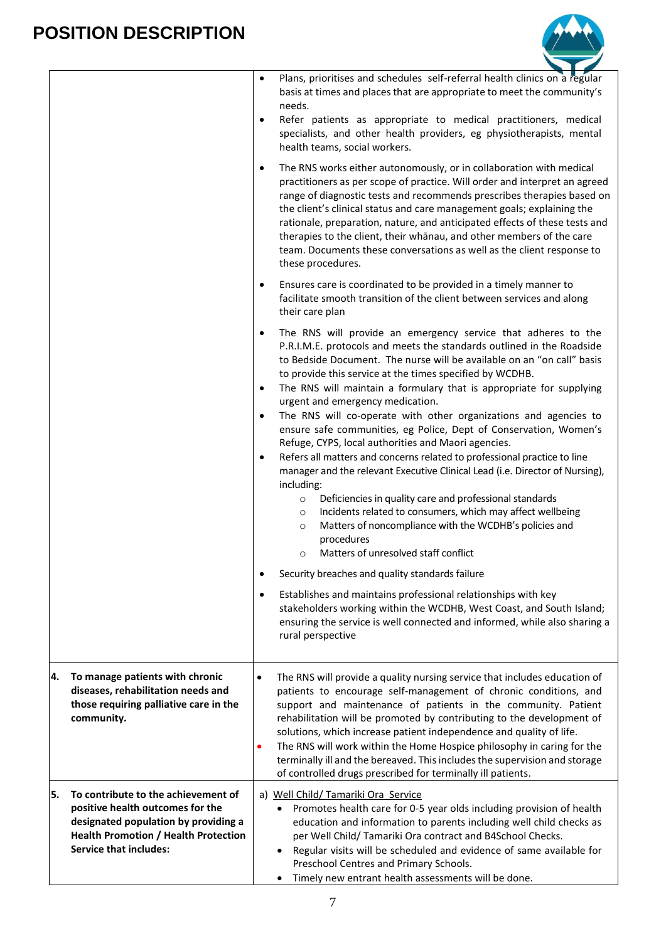

|    |                                                                                                                                                                                                 | Plans, prioritises and schedules self-referral health clinics on a regular<br>$\bullet$<br>basis at times and places that are appropriate to meet the community's<br>needs.<br>Refer patients as appropriate to medical practitioners, medical<br>$\bullet$<br>specialists, and other health providers, eg physiotherapists, mental<br>health teams, social workers.<br>The RNS works either autonomously, or in collaboration with medical<br>$\bullet$<br>practitioners as per scope of practice. Will order and interpret an agreed<br>range of diagnostic tests and recommends prescribes therapies based on<br>the client's clinical status and care management goals; explaining the<br>rationale, preparation, nature, and anticipated effects of these tests and<br>therapies to the client, their whanau, and other members of the care<br>team. Documents these conversations as well as the client response to<br>these procedures.                                                                                                                                                                                                                                                                                                                                                                                                                                                        |
|----|-------------------------------------------------------------------------------------------------------------------------------------------------------------------------------------------------|-------------------------------------------------------------------------------------------------------------------------------------------------------------------------------------------------------------------------------------------------------------------------------------------------------------------------------------------------------------------------------------------------------------------------------------------------------------------------------------------------------------------------------------------------------------------------------------------------------------------------------------------------------------------------------------------------------------------------------------------------------------------------------------------------------------------------------------------------------------------------------------------------------------------------------------------------------------------------------------------------------------------------------------------------------------------------------------------------------------------------------------------------------------------------------------------------------------------------------------------------------------------------------------------------------------------------------------------------------------------------------------------------------|
|    |                                                                                                                                                                                                 | Ensures care is coordinated to be provided in a timely manner to<br>$\bullet$<br>facilitate smooth transition of the client between services and along<br>their care plan                                                                                                                                                                                                                                                                                                                                                                                                                                                                                                                                                                                                                                                                                                                                                                                                                                                                                                                                                                                                                                                                                                                                                                                                                             |
|    |                                                                                                                                                                                                 | The RNS will provide an emergency service that adheres to the<br>٠<br>P.R.I.M.E. protocols and meets the standards outlined in the Roadside<br>to Bedside Document. The nurse will be available on an "on call" basis<br>to provide this service at the times specified by WCDHB.<br>The RNS will maintain a formulary that is appropriate for supplying<br>$\bullet$<br>urgent and emergency medication.<br>The RNS will co-operate with other organizations and agencies to<br>$\bullet$<br>ensure safe communities, eg Police, Dept of Conservation, Women's<br>Refuge, CYPS, local authorities and Maori agencies.<br>Refers all matters and concerns related to professional practice to line<br>$\bullet$<br>manager and the relevant Executive Clinical Lead (i.e. Director of Nursing),<br>including:<br>Deficiencies in quality care and professional standards<br>$\circ$<br>Incidents related to consumers, which may affect wellbeing<br>$\circ$<br>Matters of noncompliance with the WCDHB's policies and<br>$\circ$<br>procedures<br>Matters of unresolved staff conflict<br>$\circ$<br>Security breaches and quality standards failure<br>Establishes and maintains professional relationships with key<br>٠<br>stakeholders working within the WCDHB, West Coast, and South Island;<br>ensuring the service is well connected and informed, while also sharing a<br>rural perspective |
| 4. | To manage patients with chronic<br>diseases, rehabilitation needs and<br>those requiring palliative care in the<br>community.                                                                   | The RNS will provide a quality nursing service that includes education of<br>$\bullet$<br>patients to encourage self-management of chronic conditions, and<br>support and maintenance of patients in the community. Patient<br>rehabilitation will be promoted by contributing to the development of<br>solutions, which increase patient independence and quality of life.<br>The RNS will work within the Home Hospice philosophy in caring for the<br>$\bullet$<br>terminally ill and the bereaved. This includes the supervision and storage<br>of controlled drugs prescribed for terminally ill patients.                                                                                                                                                                                                                                                                                                                                                                                                                                                                                                                                                                                                                                                                                                                                                                                       |
| 5. | To contribute to the achievement of<br>positive health outcomes for the<br>designated population by providing a<br><b>Health Promotion / Health Protection</b><br><b>Service that includes:</b> | a) Well Child/ Tamariki Ora Service<br>Promotes health care for 0-5 year olds including provision of health<br>٠<br>education and information to parents including well child checks as<br>per Well Child/ Tamariki Ora contract and B4School Checks.<br>Regular visits will be scheduled and evidence of same available for<br>$\bullet$<br>Preschool Centres and Primary Schools.<br>Timely new entrant health assessments will be done.<br>$\bullet$                                                                                                                                                                                                                                                                                                                                                                                                                                                                                                                                                                                                                                                                                                                                                                                                                                                                                                                                               |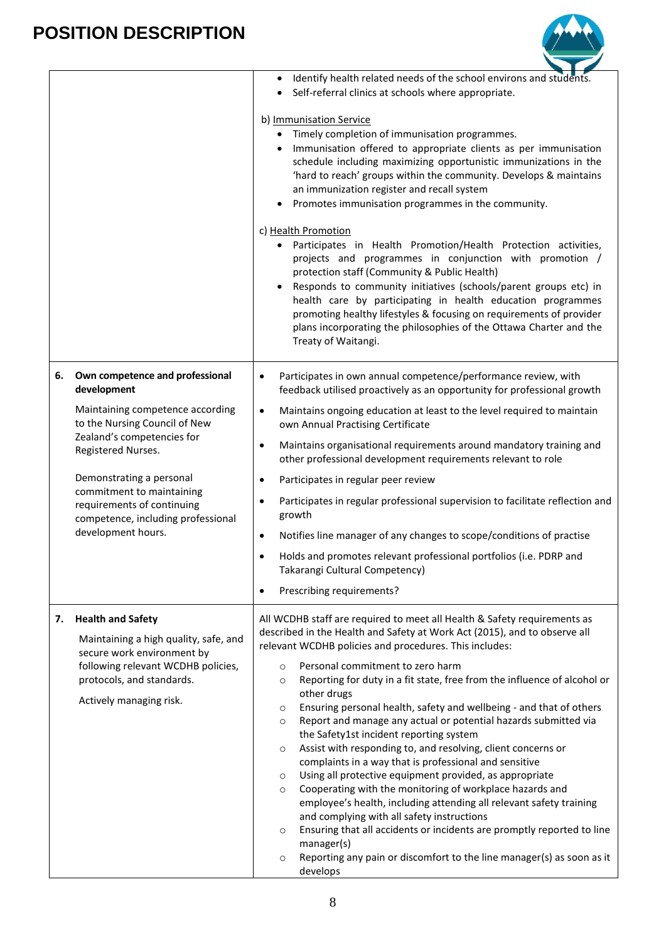

|    |                                                                                                                                                                                               | Identify health related needs of the school environs and students.<br>٠<br>Self-referral clinics at schools where appropriate.                                                                                                                                                                                                                                                                                                                                                                                                                                                                                                                                                                      |
|----|-----------------------------------------------------------------------------------------------------------------------------------------------------------------------------------------------|-----------------------------------------------------------------------------------------------------------------------------------------------------------------------------------------------------------------------------------------------------------------------------------------------------------------------------------------------------------------------------------------------------------------------------------------------------------------------------------------------------------------------------------------------------------------------------------------------------------------------------------------------------------------------------------------------------|
|    |                                                                                                                                                                                               | b) Immunisation Service<br>Timely completion of immunisation programmes.<br>$\bullet$<br>Immunisation offered to appropriate clients as per immunisation<br>schedule including maximizing opportunistic immunizations in the<br>'hard to reach' groups within the community. Develops & maintains<br>an immunization register and recall system<br>Promotes immunisation programmes in the community.                                                                                                                                                                                                                                                                                               |
|    |                                                                                                                                                                                               | c) Health Promotion<br>Participates in Health Promotion/Health Protection activities,<br>projects and programmes in conjunction with promotion /<br>protection staff (Community & Public Health)<br>Responds to community initiatives (schools/parent groups etc) in<br>health care by participating in health education programmes<br>promoting healthy lifestyles & focusing on requirements of provider<br>plans incorporating the philosophies of the Ottawa Charter and the<br>Treaty of Waitangi.                                                                                                                                                                                             |
| 6. | Own competence and professional<br>development                                                                                                                                                | Participates in own annual competence/performance review, with<br>$\bullet$<br>feedback utilised proactively as an opportunity for professional growth                                                                                                                                                                                                                                                                                                                                                                                                                                                                                                                                              |
|    | Maintaining competence according<br>to the Nursing Council of New                                                                                                                             | Maintains ongoing education at least to the level required to maintain<br>$\bullet$<br>own Annual Practising Certificate                                                                                                                                                                                                                                                                                                                                                                                                                                                                                                                                                                            |
|    | Zealand's competencies for<br>Registered Nurses.                                                                                                                                              | Maintains organisational requirements around mandatory training and<br>$\bullet$<br>other professional development requirements relevant to role                                                                                                                                                                                                                                                                                                                                                                                                                                                                                                                                                    |
|    | Demonstrating a personal                                                                                                                                                                      | Participates in regular peer review<br>$\bullet$                                                                                                                                                                                                                                                                                                                                                                                                                                                                                                                                                                                                                                                    |
|    | commitment to maintaining<br>requirements of continuing<br>competence, including professional                                                                                                 | Participates in regular professional supervision to facilitate reflection and<br>$\bullet$<br>growth                                                                                                                                                                                                                                                                                                                                                                                                                                                                                                                                                                                                |
|    | development hours.                                                                                                                                                                            | Notifies line manager of any changes to scope/conditions of practise<br>$\bullet$                                                                                                                                                                                                                                                                                                                                                                                                                                                                                                                                                                                                                   |
|    |                                                                                                                                                                                               | Holds and promotes relevant professional portfolios (i.e. PDRP and<br>$\bullet$<br>Takarangi Cultural Competency)                                                                                                                                                                                                                                                                                                                                                                                                                                                                                                                                                                                   |
|    |                                                                                                                                                                                               | Prescribing requirements?<br>$\bullet$                                                                                                                                                                                                                                                                                                                                                                                                                                                                                                                                                                                                                                                              |
| 7. | <b>Health and Safety</b><br>Maintaining a high quality, safe, and<br>secure work environment by<br>following relevant WCDHB policies,<br>protocols, and standards.<br>Actively managing risk. | All WCDHB staff are required to meet all Health & Safety requirements as<br>described in the Health and Safety at Work Act (2015), and to observe all<br>relevant WCDHB policies and procedures. This includes:<br>Personal commitment to zero harm<br>$\circ$<br>Reporting for duty in a fit state, free from the influence of alcohol or<br>$\circ$<br>other drugs                                                                                                                                                                                                                                                                                                                                |
|    |                                                                                                                                                                                               | Ensuring personal health, safety and wellbeing - and that of others<br>$\circ$<br>Report and manage any actual or potential hazards submitted via<br>$\circ$<br>the Safety1st incident reporting system<br>Assist with responding to, and resolving, client concerns or<br>$\circ$<br>complaints in a way that is professional and sensitive<br>Using all protective equipment provided, as appropriate<br>$\circ$<br>Cooperating with the monitoring of workplace hazards and<br>$\circ$<br>employee's health, including attending all relevant safety training<br>and complying with all safety instructions<br>Ensuring that all accidents or incidents are promptly reported to line<br>$\circ$ |
|    |                                                                                                                                                                                               | manager(s)<br>Reporting any pain or discomfort to the line manager(s) as soon as it<br>$\circ$<br>develops                                                                                                                                                                                                                                                                                                                                                                                                                                                                                                                                                                                          |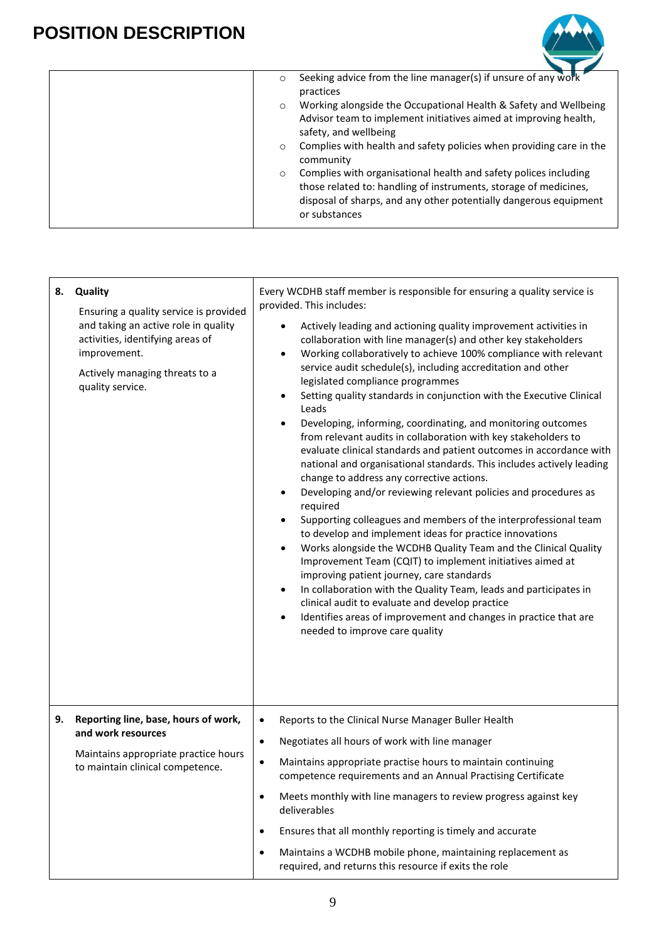

| Seeking advice from the line manager(s) if unsure of any work<br>$\circ$<br>practices<br>Working alongside the Occupational Health & Safety and Wellbeing<br>$\circ$<br>Advisor team to implement initiatives aimed at improving health,<br>safety, and wellbeing<br>Complies with health and safety policies when providing care in the<br>$\circ$<br>community<br>Complies with organisational health and safety polices including<br>$\circ$<br>those related to: handling of instruments, storage of medicines,<br>disposal of sharps, and any other potentially dangerous equipment |
|------------------------------------------------------------------------------------------------------------------------------------------------------------------------------------------------------------------------------------------------------------------------------------------------------------------------------------------------------------------------------------------------------------------------------------------------------------------------------------------------------------------------------------------------------------------------------------------|
| or substances                                                                                                                                                                                                                                                                                                                                                                                                                                                                                                                                                                            |

| 8. | Quality<br>Ensuring a quality service is provided<br>and taking an active role in quality<br>activities, identifying areas of<br>improvement.<br>Actively managing threats to a<br>quality service. | Every WCDHB staff member is responsible for ensuring a quality service is<br>provided. This includes:<br>Actively leading and actioning quality improvement activities in<br>collaboration with line manager(s) and other key stakeholders<br>Working collaboratively to achieve 100% compliance with relevant<br>$\bullet$<br>service audit schedule(s), including accreditation and other<br>legislated compliance programmes<br>Setting quality standards in conjunction with the Executive Clinical<br>$\bullet$<br>Leads<br>Developing, informing, coordinating, and monitoring outcomes<br>$\bullet$<br>from relevant audits in collaboration with key stakeholders to<br>evaluate clinical standards and patient outcomes in accordance with<br>national and organisational standards. This includes actively leading<br>change to address any corrective actions.<br>Developing and/or reviewing relevant policies and procedures as<br>$\bullet$<br>required<br>Supporting colleagues and members of the interprofessional team<br>to develop and implement ideas for practice innovations<br>Works alongside the WCDHB Quality Team and the Clinical Quality<br>٠<br>Improvement Team (CQIT) to implement initiatives aimed at<br>improving patient journey, care standards<br>In collaboration with the Quality Team, leads and participates in<br>$\bullet$<br>clinical audit to evaluate and develop practice<br>Identifies areas of improvement and changes in practice that are<br>$\bullet$<br>needed to improve care quality |
|----|-----------------------------------------------------------------------------------------------------------------------------------------------------------------------------------------------------|-----------------------------------------------------------------------------------------------------------------------------------------------------------------------------------------------------------------------------------------------------------------------------------------------------------------------------------------------------------------------------------------------------------------------------------------------------------------------------------------------------------------------------------------------------------------------------------------------------------------------------------------------------------------------------------------------------------------------------------------------------------------------------------------------------------------------------------------------------------------------------------------------------------------------------------------------------------------------------------------------------------------------------------------------------------------------------------------------------------------------------------------------------------------------------------------------------------------------------------------------------------------------------------------------------------------------------------------------------------------------------------------------------------------------------------------------------------------------------------------------------------------------------------------------|
| 9. | Reporting line, base, hours of work,<br>and work resources<br>Maintains appropriate practice hours<br>to maintain clinical competence.                                                              | Reports to the Clinical Nurse Manager Buller Health<br>$\bullet$<br>Negotiates all hours of work with line manager<br>$\bullet$<br>Maintains appropriate practise hours to maintain continuing<br>$\bullet$<br>competence requirements and an Annual Practising Certificate<br>Meets monthly with line managers to review progress against key<br>٠<br>deliverables<br>Ensures that all monthly reporting is timely and accurate<br>$\bullet$<br>Maintains a WCDHB mobile phone, maintaining replacement as<br>$\bullet$<br>required, and returns this resource if exits the role                                                                                                                                                                                                                                                                                                                                                                                                                                                                                                                                                                                                                                                                                                                                                                                                                                                                                                                                                             |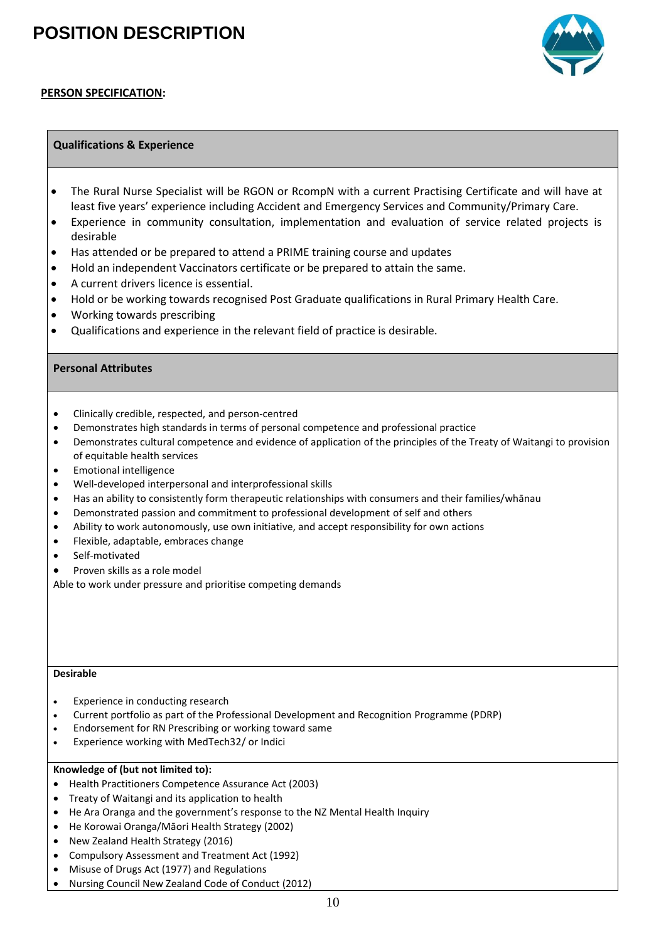

#### **PERSON SPECIFICATION:**

#### **Qualifications & Experience**

- The Rural Nurse Specialist will be RGON or RcompN with a current Practising Certificate and will have at least five years' experience including Accident and Emergency Services and Community/Primary Care.
- Experience in community consultation, implementation and evaluation of service related projects is desirable
- Has attended or be prepared to attend a PRIME training course and updates
- Hold an independent Vaccinators certificate or be prepared to attain the same.
- A current drivers licence is essential.
- Hold or be working towards recognised Post Graduate qualifications in Rural Primary Health Care.
- Working towards prescribing
- Qualifications and experience in the relevant field of practice is desirable.

#### **Personal Attributes**

- Clinically credible, respected, and person-centred
- Demonstrates high standards in terms of personal competence and professional practice
- Demonstrates cultural competence and evidence of application of the principles of the Treaty of Waitangi to provision of equitable health services
- Emotional intelligence
- Well-developed interpersonal and interprofessional skills
- Has an ability to consistently form therapeutic relationships with consumers and their families/whānau
- Demonstrated passion and commitment to professional development of self and others
- Ability to work autonomously, use own initiative, and accept responsibility for own actions
- Flexible, adaptable, embraces change
- Self-motivated
- Proven skills as a role model

Able to work under pressure and prioritise competing demands

#### **Desirable**

- Experience in conducting research
- Current portfolio as part of the Professional Development and Recognition Programme (PDRP)
- Endorsement for RN Prescribing or working toward same
- Experience working with MedTech32/ or Indici

#### **Knowledge of (but not limited to):**

- Health Practitioners Competence Assurance Act (2003)
- Treaty of Waitangi and its application to health
- He Ara Oranga and the government's response to the NZ Mental Health Inquiry
- He Korowai Oranga/Māori Health Strategy (2002)
- New Zealand Health Strategy (2016)
- Compulsory Assessment and Treatment Act (1992)
- Misuse of Drugs Act (1977) and Regulations
- Nursing Council New Zealand Code of Conduct (2012)